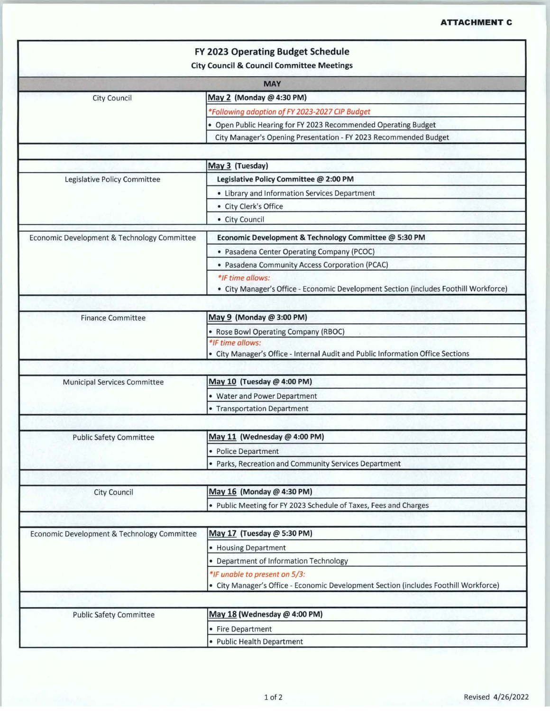|                                                 | FY 2023 Operating Budget Schedule                                                    |  |
|-------------------------------------------------|--------------------------------------------------------------------------------------|--|
|                                                 | <b>City Council &amp; Council Committee Meetings</b>                                 |  |
| <b>MAY</b>                                      |                                                                                      |  |
| May 2 (Monday @ 4:30 PM)<br><b>City Council</b> |                                                                                      |  |
|                                                 | *Following adoption of FY 2023-2027 CIP Budget                                       |  |
|                                                 | • Open Public Hearing for FY 2023 Recommended Operating Budget                       |  |
|                                                 | City Manager's Opening Presentation - FY 2023 Recommended Budget                     |  |
|                                                 |                                                                                      |  |
|                                                 | May 3 (Tuesday)                                                                      |  |
| Legislative Policy Committee                    | Legislative Policy Committee @ 2:00 PM                                               |  |
|                                                 | • Library and Information Services Department                                        |  |
|                                                 | • City Clerk's Office                                                                |  |
|                                                 | • City Council                                                                       |  |
| Economic Development & Technology Committee     |                                                                                      |  |
|                                                 | Economic Development & Technology Committee @ 5:30 PM                                |  |
|                                                 | • Pasadena Center Operating Company (PCOC)                                           |  |
|                                                 | · Pasadena Community Access Corporation (PCAC)                                       |  |
|                                                 | *IF time allows:                                                                     |  |
|                                                 | · City Manager's Office - Economic Development Section (includes Foothill Workforce) |  |
|                                                 | May 9 (Monday @ 3:00 PM)                                                             |  |
| <b>Finance Committee</b>                        |                                                                                      |  |
|                                                 | • Rose Bowl Operating Company (RBOC)<br>*IF time allows:                             |  |
|                                                 | • City Manager's Office - Internal Audit and Public Information Office Sections      |  |
|                                                 |                                                                                      |  |
| <b>Municipal Services Committee</b>             | May 10 (Tuesday @ 4:00 PM)                                                           |  |
|                                                 | • Water and Power Department                                                         |  |
|                                                 | • Transportation Department                                                          |  |
|                                                 |                                                                                      |  |
| <b>Public Safety Committee</b>                  | May 11 (Wednesday @ 4:00 PM)                                                         |  |
|                                                 | • Police Department                                                                  |  |
|                                                 | • Parks, Recreation and Community Services Department                                |  |
|                                                 |                                                                                      |  |
| <b>City Council</b>                             | May 16 (Monday @ 4:30 PM)                                                            |  |
|                                                 | • Public Meeting for FY 2023 Schedule of Taxes, Fees and Charges                     |  |
|                                                 |                                                                                      |  |
| Economic Development & Technology Committee     | May 17 (Tuesday @ 5:30 PM)                                                           |  |
|                                                 | • Housing Department                                                                 |  |
|                                                 | • Department of Information Technology                                               |  |
|                                                 | *IF unable to present on 5/3:                                                        |  |
|                                                 | · City Manager's Office - Economic Development Section (includes Foothill Workforce) |  |
|                                                 |                                                                                      |  |
| <b>Public Safety Committee</b>                  | May 18 (Wednesday @ 4:00 PM)                                                         |  |
|                                                 | • Fire Department                                                                    |  |
|                                                 | • Public Health Department                                                           |  |